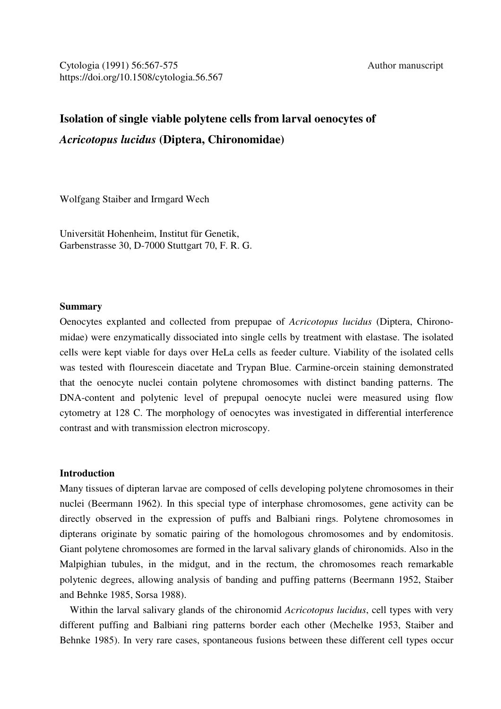# **Isolation of single viable polytene cells from larval oenocytes of**  *Acricotopus lucidus* **(Diptera, Chironomidae)**

Wolfgang Staiber and Irmgard Wech

Universität Hohenheim, Institut für Genetik, Garbenstrasse 30, D-7000 Stuttgart 70, F. R. G.

## **Summary**

Oenocytes explanted and collected from prepupae of *Acricotopus lucidus* (Diptera, Chironomidae) were enzymatically dissociated into single cells by treatment with elastase. The isolated cells were kept viable for days over HeLa cells as feeder culture. Viability of the isolated cells was tested with flourescein diacetate and Trypan Blue. Carmine-orcein staining demonstrated that the oenocyte nuclei contain polytene chromosomes with distinct banding patterns. The DNA-content and polytenic level of prepupal oenocyte nuclei were measured using flow cytometry at 128 C. The morphology of oenocytes was investigated in differential interference contrast and with transmission electron microscopy.

## **Introduction**

Many tissues of dipteran larvae are composed of cells developing polytene chromosomes in their nuclei (Beermann 1962). In this special type of interphase chromosomes, gene activity can be directly observed in the expression of puffs and Balbiani rings. Polytene chromosomes in dipterans originate by somatic pairing of the homologous chromosomes and by endomitosis. Giant polytene chromosomes are formed in the larval salivary glands of chironomids. Also in the Malpighian tubules, in the midgut, and in the rectum, the chromosomes reach remarkable polytenic degrees, allowing analysis of banding and puffing patterns (Beermann 1952, Staiber and Behnke 1985, Sorsa 1988).

 Within the larval salivary glands of the chironomid *Acricotopus lucidus*, cell types with very different puffing and Balbiani ring patterns border each other (Mechelke 1953, Staiber and Behnke 1985). In very rare cases, spontaneous fusions between these different cell types occur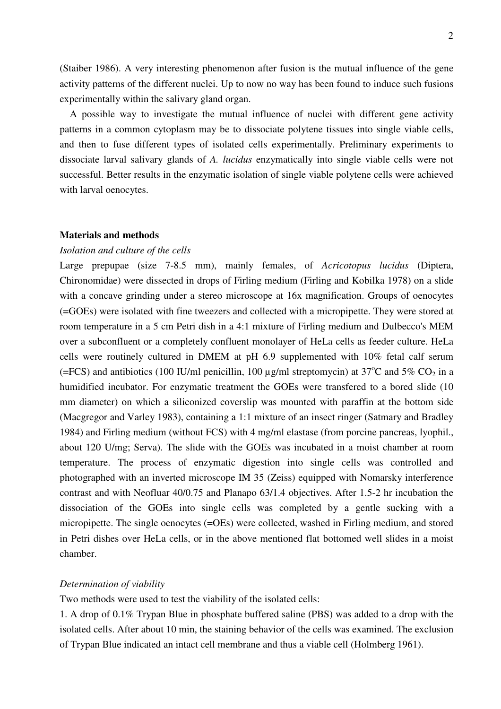(Staiber 1986). A very interesting phenomenon after fusion is the mutual influence of the gene activity patterns of the different nuclei. Up to now no way has been found to induce such fusions experimentally within the salivary gland organ.

 A possible way to investigate the mutual influence of nuclei with different gene activity patterns in a common cytoplasm may be to dissociate polytene tissues into single viable cells, and then to fuse different types of isolated cells experimentally. Preliminary experiments to dissociate larval salivary glands of *A. lucidus* enzymatically into single viable cells were not successful. Better results in the enzymatic isolation of single viable polytene cells were achieved with larval oenocytes.

# **Materials and methods**

## *Isolation and culture of the cells*

Large prepupae (size 7-8.5 mm), mainly females, of *Acricotopus lucidus* (Diptera, Chironomidae) were dissected in drops of Firling medium (Firling and Kobilka 1978) on a slide with a concave grinding under a stereo microscope at 16x magnification. Groups of oenocytes (=GOEs) were isolated with fine tweezers and collected with a micropipette. They were stored at room temperature in a 5 cm Petri dish in a 4:1 mixture of Firling medium and Dulbecco's MEM over a subconfluent or a completely confluent monolayer of HeLa cells as feeder culture. HeLa cells were routinely cultured in DMEM at pH 6.9 supplemented with 10% fetal calf serum (=FCS) and antibiotics (100 IU/ml penicillin, 100  $\mu$ g/ml streptomycin) at 37<sup>o</sup>C and 5% CO<sub>2</sub> in a humidified incubator. For enzymatic treatment the GOEs were transfered to a bored slide (10 mm diameter) on which a siliconized coverslip was mounted with paraffin at the bottom side (Macgregor and Varley 1983), containing a 1:1 mixture of an insect ringer (Satmary and Bradley 1984) and Firling medium (without FCS) with 4 mg/ml elastase (from porcine pancreas, lyophil., about 120 U/mg; Serva). The slide with the GOEs was incubated in a moist chamber at room temperature. The process of enzymatic digestion into single cells was controlled and photographed with an inverted microscope IM 35 (Zeiss) equipped with Nomarsky interference contrast and with Neofluar 40/0.75 and Planapo 63/1.4 objectives. After 1.5-2 hr incubation the dissociation of the GOEs into single cells was completed by a gentle sucking with a micropipette. The single oenocytes (=OEs) were collected, washed in Firling medium, and stored in Petri dishes over HeLa cells, or in the above mentioned flat bottomed well slides in a moist chamber.

## *Determination of viability*

Two methods were used to test the viability of the isolated cells:

1. A drop of 0.1% Trypan Blue in phosphate buffered saline (PBS) was added to a drop with the isolated cells. After about 10 min, the staining behavior of the cells was examined. The exclusion of Trypan Blue indicated an intact cell membrane and thus a viable cell (Holmberg 1961).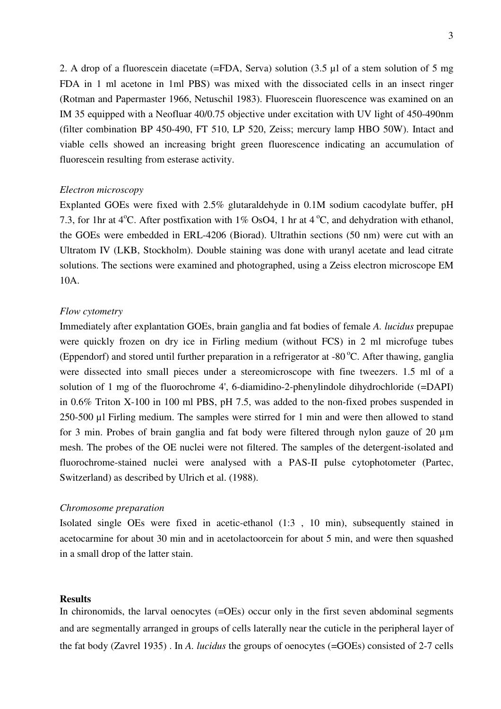2. A drop of a fluorescein diacetate (=FDA, Serva) solution (3.5 µl of a stem solution of 5 mg FDA in 1 ml acetone in 1ml PBS) was mixed with the dissociated cells in an insect ringer (Rotman and Papermaster 1966, Netuschil 1983). Fluorescein fluorescence was examined on an IM 35 equipped with a Neofluar 40/0.75 objective under excitation with UV light of 450-490nm (filter combination BP 450-490, FT 510, LP 520, Zeiss; mercury lamp HBO 50W). Intact and viable cells showed an increasing bright green fluorescence indicating an accumulation of fluorescein resulting from esterase activity.

# *Electron microscopy*

Explanted GOEs were fixed with 2.5% glutaraldehyde in 0.1M sodium cacodylate buffer, pH 7.3, for 1hr at 4<sup>o</sup>C. After postfixation with 1% OsO4, 1 hr at 4<sup>o</sup>C, and dehydration with ethanol, the GOEs were embedded in ERL-4206 (Biorad). Ultrathin sections (50 nm) were cut with an Ultratom IV (LKB, Stockholm). Double staining was done with uranyl acetate and lead citrate solutions. The sections were examined and photographed, using a Zeiss electron microscope EM 10A.

# *Flow cytometry*

Immediately after explantation GOEs, brain ganglia and fat bodies of female *A. lucidus* prepupae were quickly frozen on dry ice in Firling medium (without FCS) in 2 ml microfuge tubes (Eppendorf) and stored until further preparation in a refrigerator at -80 $^{\circ}$ C. After thawing, ganglia were dissected into small pieces under a stereomicroscope with fine tweezers. 1.5 ml of a solution of 1 mg of the fluorochrome 4', 6-diamidino-2-phenylindole dihydrochloride (=DAPI) in 0.6% Triton X-100 in 100 ml PBS, pH 7.5, was added to the non-fixed probes suspended in 250-500 µl Firling medium. The samples were stirred for 1 min and were then allowed to stand for 3 min. Probes of brain ganglia and fat body were filtered through nylon gauze of 20 µm mesh. The probes of the OE nuclei were not filtered. The samples of the detergent-isolated and fluorochrome-stained nuclei were analysed with a PAS-II pulse cytophotometer (Partec, Switzerland) as described by Ulrich et al. (1988).

### *Chromosome preparation*

Isolated single OEs were fixed in acetic-ethanol (1:3 , 10 min), subsequently stained in acetocarmine for about 30 min and in acetolactoorcein for about 5 min, and were then squashed in a small drop of the latter stain.

## **Results**

In chironomids, the larval oenocytes (=OEs) occur only in the first seven abdominal segments and are segmentally arranged in groups of cells laterally near the cuticle in the peripheral layer of the fat body (Zavrel 1935) . In *A. lucidus* the groups of oenocytes (=GOEs) consisted of 2-7 cells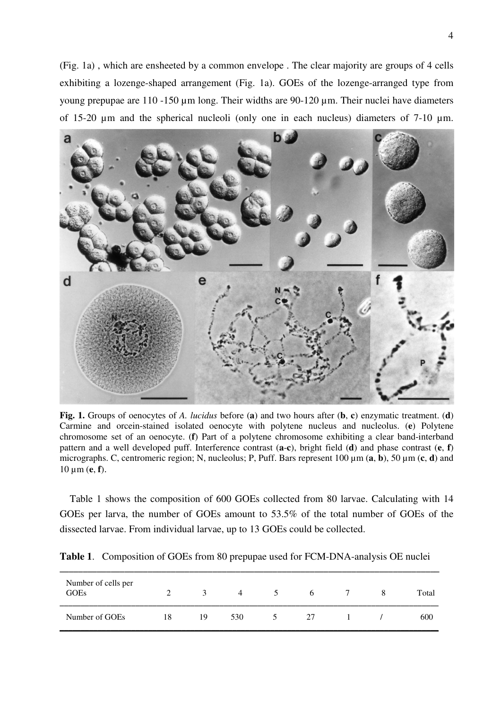(Fig. 1a) , which are ensheeted by a common envelope . The clear majority are groups of 4 cells exhibiting a lozenge-shaped arrangement (Fig. 1a). GOEs of the lozenge-arranged type from young prepupae are 110 -150 µm long. Their widths are 90-120 µm. Their nuclei have diameters of 15-20 µm and the spherical nucleoli (only one in each nucleus) diameters of 7-10 µm.



**Fig. 1.** Groups of oenocytes of *A. lucidus* before (**a**) and two hours after (**b**, **c**) enzymatic treatment. (**d**) Carmine and orcein-stained isolated oenocyte with polytene nucleus and nucleolus. (**e**) Polytene chromosome set of an oenocyte. (**f**) Part of a polytene chromosome exhibiting a clear band-interband pattern and a well developed puff. Interference contrast (**a**-**c**), bright field (**d**) and phase contrast (**e**, **f**) micrographs. C, centromeric region; N, nucleolus; P, Puff. Bars represent 100 µm (**a**, **b**), 50 µm (**c**, **d**) and 10 µm (**e**, **f**).

 Table 1 shows the composition of 600 GOEs collected from 80 larvae. Calculating with 14 GOEs per larva, the number of GOEs amount to 53.5% of the total number of GOEs of the dissected larvae. From individual larvae, up to 13 GOEs could be collected.

| Number of cells per<br><b>GOEs</b> |    | 3  | $\overline{4}$ | 5 | 6  |  | Total |
|------------------------------------|----|----|----------------|---|----|--|-------|
| Number of GOEs                     | 18 | 19 | 530            |   | 27 |  | 600   |

**Table 1**. Composition of GOEs from 80 prepupae used for FCM-DNA-analysis OE nuclei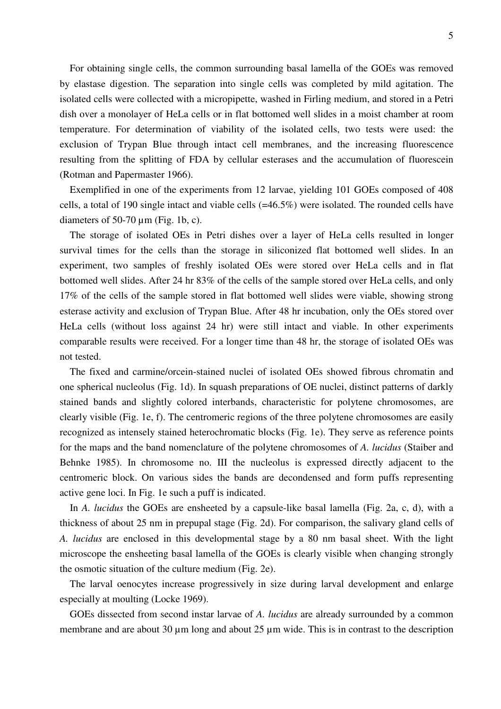For obtaining single cells, the common surrounding basal lamella of the GOEs was removed by elastase digestion. The separation into single cells was completed by mild agitation. The isolated cells were collected with a micropipette, washed in Firling medium, and stored in a Petri dish over a monolayer of HeLa cells or in flat bottomed well slides in a moist chamber at room temperature. For determination of viability of the isolated cells, two tests were used: the exclusion of Trypan Blue through intact cell membranes, and the increasing fluorescence resulting from the splitting of FDA by cellular esterases and the accumulation of fluorescein (Rotman and Papermaster 1966).

 Exemplified in one of the experiments from 12 larvae, yielding 101 GOEs composed of 408 cells, a total of 190 single intact and viable cells (=46.5%) were isolated. The rounded cells have diameters of 50-70  $\mu$ m (Fig. 1b, c).

 The storage of isolated OEs in Petri dishes over a layer of HeLa cells resulted in longer survival times for the cells than the storage in siliconized flat bottomed well slides. In an experiment, two samples of freshly isolated OEs were stored over HeLa cells and in flat bottomed well slides. After 24 hr 83% of the cells of the sample stored over HeLa cells, and only 17% of the cells of the sample stored in flat bottomed well slides were viable, showing strong esterase activity and exclusion of Trypan Blue. After 48 hr incubation, only the OEs stored over HeLa cells (without loss against 24 hr) were still intact and viable. In other experiments comparable results were received. For a longer time than 48 hr, the storage of isolated OEs was not tested.

 The fixed and carmine/orcein-stained nuclei of isolated OEs showed fibrous chromatin and one spherical nucleolus (Fig. 1d). In squash preparations of OE nuclei, distinct patterns of darkly stained bands and slightly colored interbands, characteristic for polytene chromosomes, are clearly visible (Fig. 1e, f). The centromeric regions of the three polytene chromosomes are easily recognized as intensely stained heterochromatic blocks (Fig. 1e). They serve as reference points for the maps and the band nomenclature of the polytene chromosomes of *A. lucidus* (Staiber and Behnke 1985). In chromosome no. III the nucleolus is expressed directly adjacent to the centromeric block. On various sides the bands are decondensed and form puffs representing active gene loci. In Fig. 1e such a puff is indicated.

In *A. lucidus* the GOEs are ensheeted by a capsule-like basal lamella (Fig. 2a, c, d), with a thickness of about 25 nm in prepupal stage (Fig. 2d). For comparison, the salivary gland cells of *A. lucidus* are enclosed in this developmental stage by a 80 nm basal sheet. With the light microscope the ensheeting basal lamella of the GOEs is clearly visible when changing strongly the osmotic situation of the culture medium (Fig. 2e).

 The larval oenocytes increase progressively in size during larval development and enlarge especially at moulting (Locke 1969).

 GOEs dissected from second instar larvae of *A. lucidus* are already surrounded by a common membrane and are about 30  $\mu$ m long and about 25  $\mu$ m wide. This is in contrast to the description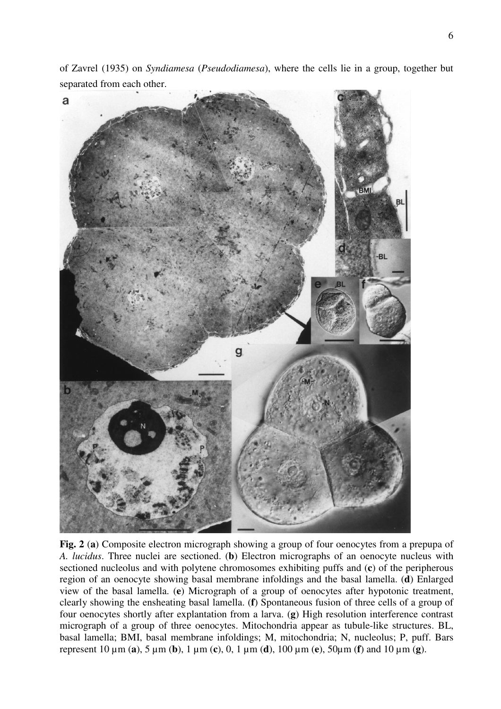of Zavrel (1935) on *Syndiamesa* (*Pseudodiamesa*), where the cells lie in a group, together but separated from each other.



**Fig. 2** (**a**) Composite electron micrograph showing a group of four oenocytes from a prepupa of *A. lucidus*. Three nuclei are sectioned. (**b**) Electron micrographs of an oenocyte nucleus with sectioned nucleolus and with polytene chromosomes exhibiting puffs and (**c**) of the peripherous region of an oenocyte showing basal membrane infoldings and the basal lamella. (**d**) Enlarged view of the basal lamella. (**e**) Micrograph of a group of oenocytes after hypotonic treatment, clearly showing the ensheating basal lamella. (**f**) Spontaneous fusion of three cells of a group of four oenocytes shortly after explantation from a larva. (**g**) High resolution interference contrast micrograph of a group of three oenocytes. Mitochondria appear as tubule-like structures. BL, basal lamella; BMI, basal membrane infoldings; M, mitochondria; N, nucleolus; P, puff. Bars represent 10 µm (**a**), 5 µm (**b**), 1 µm (**c**), 0, 1 µm (**d**), 100 µm (**e**), 50µm (**f**) and 10 µm (**g**).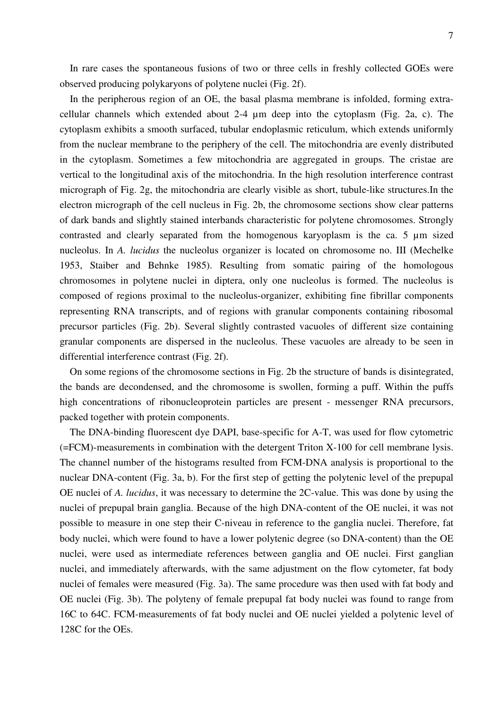In rare cases the spontaneous fusions of two or three cells in freshly collected GOEs were observed producing polykaryons of polytene nuclei (Fig. 2f).

 In the peripherous region of an OE, the basal plasma membrane is infolded, forming extracellular channels which extended about 2-4 µm deep into the cytoplasm (Fig. 2a, c). The cytoplasm exhibits a smooth surfaced, tubular endoplasmic reticulum, which extends uniformly from the nuclear membrane to the periphery of the cell. The mitochondria are evenly distributed in the cytoplasm. Sometimes a few mitochondria are aggregated in groups. The cristae are vertical to the longitudinal axis of the mitochondria. In the high resolution interference contrast micrograph of Fig. 2g, the mitochondria are clearly visible as short, tubule-like structures.In the electron micrograph of the cell nucleus in Fig. 2b, the chromosome sections show clear patterns of dark bands and slightly stained interbands characteristic for polytene chromosomes. Strongly contrasted and clearly separated from the homogenous karyoplasm is the ca. 5 µm sized nucleolus. In *A. lucidus* the nucleolus organizer is located on chromosome no. III (Mechelke 1953, Staiber and Behnke 1985). Resulting from somatic pairing of the homologous chromosomes in polytene nuclei in diptera, only one nucleolus is formed. The nucleolus is composed of regions proximal to the nucleolus-organizer, exhibiting fine fibrillar components representing RNA transcripts, and of regions with granular components containing ribosomal precursor particles (Fig. 2b). Several slightly contrasted vacuoles of different size containing granular components are dispersed in the nucleolus. These vacuoles are already to be seen in differential interference contrast (Fig. 2f).

 On some regions of the chromosome sections in Fig. 2b the structure of bands is disintegrated, the bands are decondensed, and the chromosome is swollen, forming a puff. Within the puffs high concentrations of ribonucleoprotein particles are present - messenger RNA precursors, packed together with protein components.

 The DNA-binding fluorescent dye DAPI, base-specific for A-T, was used for flow cytometric (=FCM)-measurements in combination with the detergent Triton X-100 for cell membrane lysis. The channel number of the histograms resulted from FCM-DNA analysis is proportional to the nuclear DNA-content (Fig. 3a, b). For the first step of getting the polytenic level of the prepupal OE nuclei of *A. lucidus*, it was necessary to determine the 2C-value. This was done by using the nuclei of prepupal brain ganglia. Because of the high DNA-content of the OE nuclei, it was not possible to measure in one step their C-niveau in reference to the ganglia nuclei. Therefore, fat body nuclei, which were found to have a lower polytenic degree (so DNA-content) than the OE nuclei, were used as intermediate references between ganglia and OE nuclei. First ganglian nuclei, and immediately afterwards, with the same adjustment on the flow cytometer, fat body nuclei of females were measured (Fig. 3a). The same procedure was then used with fat body and OE nuclei (Fig. 3b). The polyteny of female prepupal fat body nuclei was found to range from 16C to 64C. FCM-measurements of fat body nuclei and OE nuclei yielded a polytenic level of 128C for the OEs.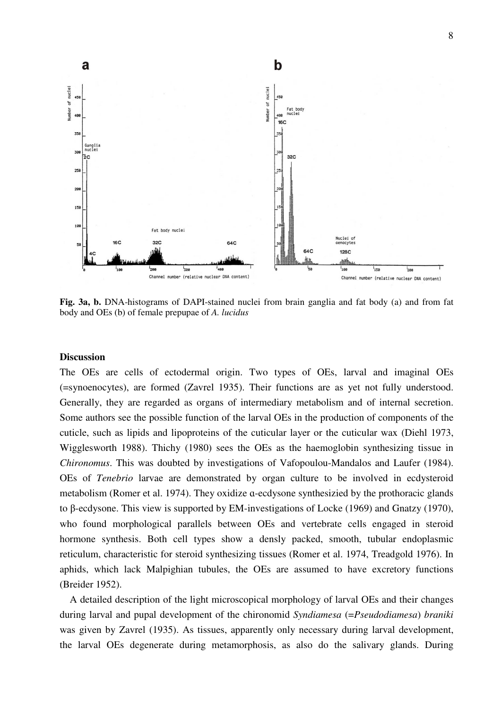

**Fig. 3a, b.** DNA-histograms of DAPI-stained nuclei from brain ganglia and fat body (a) and from fat body and OEs (b) of female prepupae of *A. lucidus*

## **Discussion**

The OEs are cells of ectodermal origin. Two types of OEs, larval and imaginal OEs (=synoenocytes), are formed (Zavrel 1935). Their functions are as yet not fully understood. Generally, they are regarded as organs of intermediary metabolism and of internal secretion. Some authors see the possible function of the larval OEs in the production of components of the cuticle, such as lipids and lipoproteins of the cuticular layer or the cuticular wax (Diehl 1973, Wigglesworth 1988). Thichy (1980) sees the OEs as the haemoglobin synthesizing tissue in *Chironomus*. This was doubted by investigations of Vafopoulou-Mandalos and Laufer (1984). OEs of *Tenebrio* larvae are demonstrated by organ culture to be involved in ecdysteroid metabolism (Romer et al. 1974). They oxidize ɑ-ecdysone synthesizied by the prothoracic glands to β-ecdysone. This view is supported by EM-investigations of Locke (1969) and Gnatzy (1970), who found morphological parallels between OEs and vertebrate cells engaged in steroid hormone synthesis. Both cell types show a densly packed, smooth, tubular endoplasmic reticulum, characteristic for steroid synthesizing tissues (Romer et al. 1974, Treadgold 1976). In aphids, which lack Malpighian tubules, the OEs are assumed to have excretory functions (Breider 1952).

 A detailed description of the light microscopical morphology of larval OEs and their changes during larval and pupal development of the chironomid *Syndiamesa* (=*Pseudodiamesa*) *braniki* was given by Zavrel (1935). As tissues, apparently only necessary during larval development, the larval OEs degenerate during metamorphosis, as also do the salivary glands. During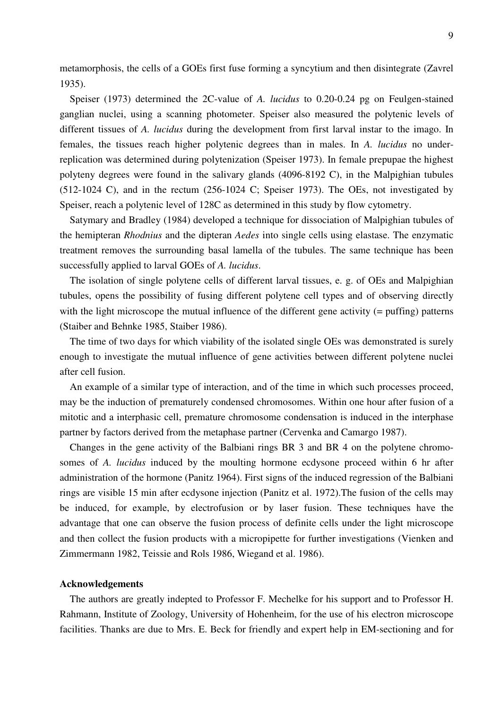metamorphosis, the cells of a GOEs first fuse forming a syncytium and then disintegrate (Zavrel 1935).

 Speiser (1973) determined the 2C-value of *A. lucidus* to 0.20-0.24 pg on Feulgen-stained ganglian nuclei, using a scanning photometer. Speiser also measured the polytenic levels of different tissues of *A. lucidus* during the development from first larval instar to the imago. In females, the tissues reach higher polytenic degrees than in males. In *A. lucidus* no underreplication was determined during polytenization (Speiser 1973). In female prepupae the highest polyteny degrees were found in the salivary glands (4096-8192 C), in the Malpighian tubules (512-1024 C), and in the rectum (256-1024 C; Speiser 1973). The OEs, not investigated by Speiser, reach a polytenic level of 128C as determined in this study by flow cytometry.

 Satymary and Bradley (1984) developed a technique for dissociation of Malpighian tubules of the hemipteran *Rhodnius* and the dipteran *Aedes* into single cells using elastase. The enzymatic treatment removes the surrounding basal lamella of the tubules. The same technique has been successfully applied to larval GOEs of *A. lucidus*.

 The isolation of single polytene cells of different larval tissues, e. g. of OEs and Malpighian tubules, opens the possibility of fusing different polytene cell types and of observing directly with the light microscope the mutual influence of the different gene activity (= puffing) patterns (Staiber and Behnke 1985, Staiber 1986).

 The time of two days for which viability of the isolated single OEs was demonstrated is surely enough to investigate the mutual influence of gene activities between different polytene nuclei after cell fusion.

 An example of a similar type of interaction, and of the time in which such processes proceed, may be the induction of prematurely condensed chromosomes. Within one hour after fusion of a mitotic and a interphasic cell, premature chromosome condensation is induced in the interphase partner by factors derived from the metaphase partner (Cervenka and Camargo 1987).

 Changes in the gene activity of the Balbiani rings BR 3 and BR 4 on the polytene chromosomes of *A. lucidus* induced by the moulting hormone ecdysone proceed within 6 hr after administration of the hormone (Panitz 1964). First signs of the induced regression of the Balbiani rings are visible 15 min after ecdysone injection (Panitz et al. 1972).The fusion of the cells may be induced, for example, by electrofusion or by laser fusion. These techniques have the advantage that one can observe the fusion process of definite cells under the light microscope and then collect the fusion products with a micropipette for further investigations (Vienken and Zimmermann 1982, Teissie and Rols 1986, Wiegand et al. 1986).

### **Acknowledgements**

 The authors are greatly indepted to Professor F. Mechelke for his support and to Professor H. Rahmann, Institute of Zoology, University of Hohenheim, for the use of his electron microscope facilities. Thanks are due to Mrs. E. Beck for friendly and expert help in EM-sectioning and for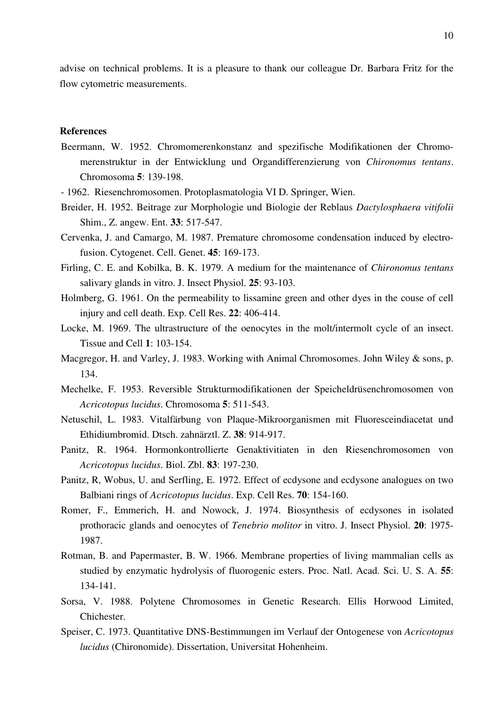advise on technical problems. It is a pleasure to thank our colleague Dr. Barbara Fritz for the flow cytometric measurements.

## **References**

- Beermann, W. 1952. Chromomerenkonstanz and spezifische Modifikationen der Chromomerenstruktur in der Entwicklung und Organdifferenzierung von *Chironomus tentans*. Chromosoma **5**: 139-198.
- 1962. Riesenchromosomen. Protoplasmatologia VI D. Springer, Wien.
- Breider, H. 1952. Beitrage zur Morphologie und Biologie der Reblaus *Dactylosphaera vitifolii*  Shim., Z. angew. Ent. **33**: 517-547.
- Cervenka, J. and Camargo, M. 1987. Premature chromosome condensation induced by electrofusion. Cytogenet. Cell. Genet. **45**: 169-173.
- Firling, C. E. and Kobilka, B. K. 1979. A medium for the maintenance of *Chironomus tentans* salivary glands in vitro. J. Insect Physiol. **25**: 93-103.
- Holmberg, G. 1961. On the permeability to lissamine green and other dyes in the couse of cell injury and cell death. Exp. Cell Res. **22**: 406-414.
- Locke, M. 1969. The ultrastructure of the oenocytes in the molt/intermolt cycle of an insect. Tissue and Cell **1**: 103-154.
- Macgregor, H. and Varley, J. 1983. Working with Animal Chromosomes. John Wiley & sons, p. 134.
- Mechelke, F. 1953. Reversible Strukturmodifikationen der Speicheldrüsenchromosomen von *Acricotopus lucidus*. Chromosoma **5**: 511-543.
- Netuschil, L. 1983. Vitalfärbung von Plaque-Mikroorganismen mit Fluoresceindiacetat und Ethidiumbromid. Dtsch. zahnärztl. Z. **38**: 914-917.
- Panitz, R. 1964. Hormonkontrollierte Genaktivitiaten in den Riesenchromosomen von *Acricotopus lucidus*. Biol. Zbl. **83**: 197-230.
- Panitz, R, Wobus, U. and Serfling, E. 1972. Effect of ecdysone and ecdysone analogues on two Balbiani rings of *Acricotopus lucidus*. Exp. Cell Res. **70**: 154-160.
- Romer, F., Emmerich, H. and Nowock, J. 1974. Biosynthesis of ecdysones in isolated prothoracic glands and oenocytes of *Tenebrio molitor* in vitro. J. Insect Physiol. **20**: 1975- 1987.
- Rotman, B. and Papermaster, B. W. 1966. Membrane properties of living mammalian cells as studied by enzymatic hydrolysis of fluorogenic esters. Proc. Natl. Acad. Sci. U. S. A. **55**: 134-141.
- Sorsa, V. 1988. Polytene Chromosomes in Genetic Research. Ellis Horwood Limited, Chichester.
- Speiser, C. 1973. Quantitative DNS-Bestimmungen im Verlauf der Ontogenese von *Acricotopus lucidus* (Chironomide). Dissertation, Universitat Hohenheim.